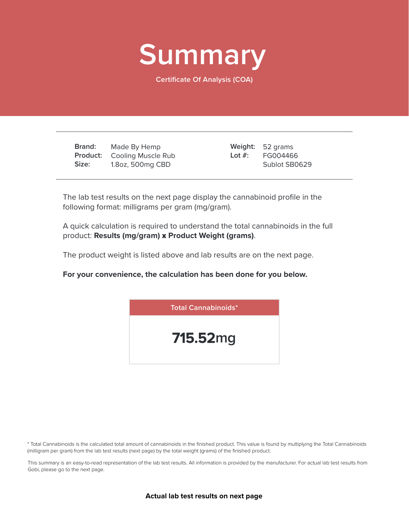

**Certificate Of Analysis (COA)**

**Brand: Product:** Cooling Muscle Rub **Size:** Made By Hemp 1.8oz, 500mg CBD

Weight: 52 grams FG004466 Sublot SB0629 **Lot #:**

The lab test results on the next page display the cannabinoid profile in the following format: milligrams per gram (mg/gram).

A quick calculation is required to understand the total cannabinoids in the full product: **Results (mg/gram)** x **Product Weight (grams)**.

The product weight is listed above and lab results are on the next page.

**For your convenience, the calculation has been done for you below.**



\* Total Cannabinoids is the calculated total amount of cannabinoids in the finished product. This value is found by multiplying the Total Cannabinoids (milligram per gram) from the lab test results (next page) by the total weight (grams) of the finished product.

This summary is an easy-to-read representation of the lab test results. All information is provided by the manufacturer. For actual lab test results from Gobi, please go to the next page.